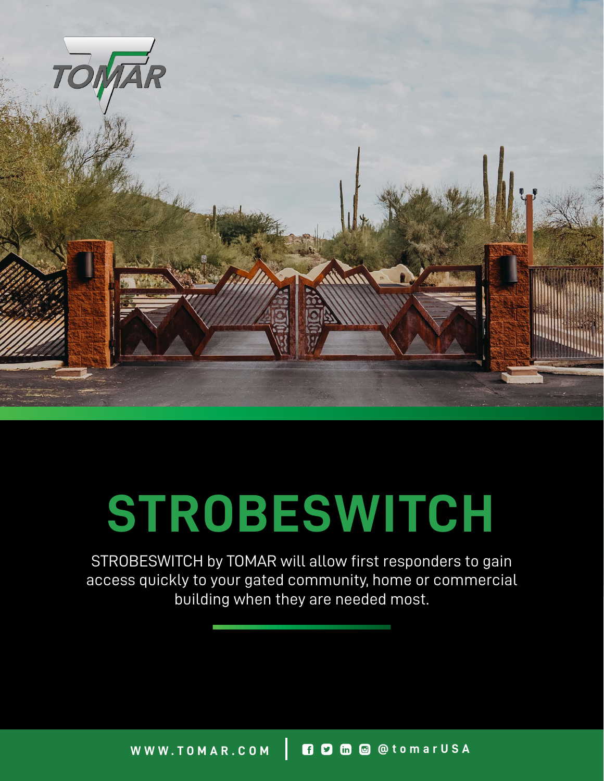

## **STROBESWITCH**

STROBESWITCH by TOMAR will allow first responders to gain access quickly to your gated community, home or commercial building when they are needed most.